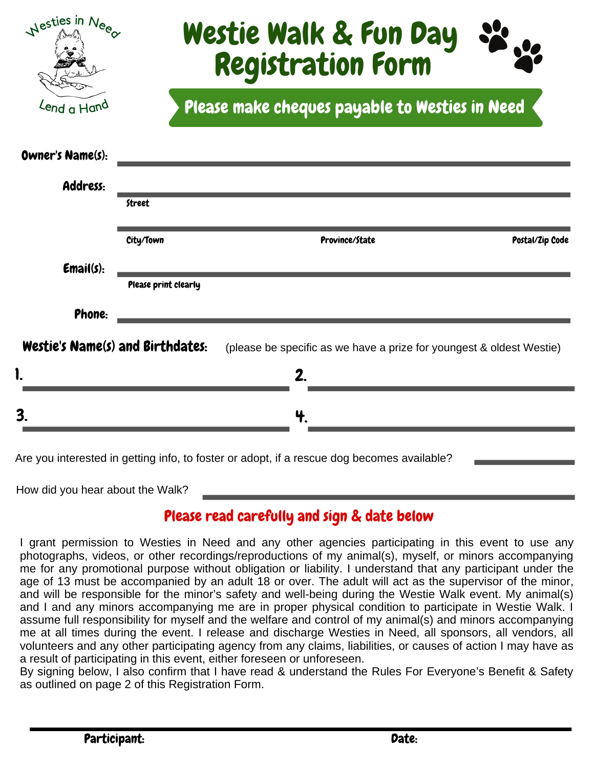| Nesties in Nee                          |                                                | Westie Walk & Fun Day<br><b>Registration Form</b>                    |                 |
|-----------------------------------------|------------------------------------------------|----------------------------------------------------------------------|-----------------|
| Lend a Hand                             | Please make cheques payable to Westies in Need |                                                                      |                 |
| Owner's Name(s):                        |                                                |                                                                      |                 |
| Address:                                | <b>Street</b>                                  |                                                                      |                 |
|                                         | City/Town                                      | Province/State                                                       | Postal/Zip Code |
| Email(s):                               | Please print clearly                           |                                                                      |                 |
| Phone:                                  |                                                |                                                                      |                 |
| <b>Westie's Name(s) and Birthdates:</b> |                                                | (please be specific as we have a prize for youngest & oldest Westie) |                 |
|                                         |                                                | 2                                                                    |                 |
| 3 <sub>1</sub>                          |                                                |                                                                      |                 |
|                                         |                                                |                                                                      |                 |

How did you hear about the Walk?

## Please read carefully and sign & date below

Are you interested in getting info, to foster or adopt, if a rescue dog becomes available?

I grant permission to Westies in Need and any other agencies participating in this event to use any photographs, videos, or other recordings/reproductions of my animal(s), myself, or minors accompanying me for any promotional purpose without obligation or liability. I understand that any participant under the age of 13 must be accompanied by an adult 18 or over. The adult will act as the supervisor of the minor, and will be responsible for the minor's safety and well-being during the Westie Walk event. My animal(s) and I and any minors accompanying me are in proper physical condition to participate in Westie Walk. I assume full responsibility for myself and the welfare and control of my animal(s) and minors accompanying me at all times during the event. I release and discharge Westies in Need, all sponsors, all vendors, all volunteers and any other participating agency from any claims, liabilities, or causes of action I may have as a result of participating in this event, either foreseen or unforeseen.

By signing below, I also confirm that I have read & understand the Rules For Everyone's Benefit & Safety as outlined on page 2 of this Registration Form.